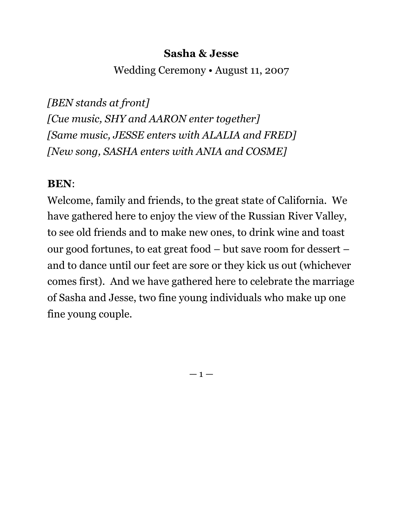#### **Sasha & Jesse**

Wedding Ceremony • August 11, 2007

*[BEN stands at front] [Cue music, SHY and AARON enter together] [Same music, JESSE enters with ALALIA and FRED] [New song, SASHA enters with ANIA and COSME]*

### **BEN**:

Welcome, family and friends, to the great state of California. We have gathered here to enjoy the view of the Russian River Valley, to see old friends and to make new ones, to drink wine and toast our good fortunes, to eat great food – but save room for dessert – and to dance until our feet are sore or they kick us out (whichever comes first). And we have gathered here to celebrate the marriage of Sasha and Jesse, two fine young individuals who make up one fine young couple.

 $-1-$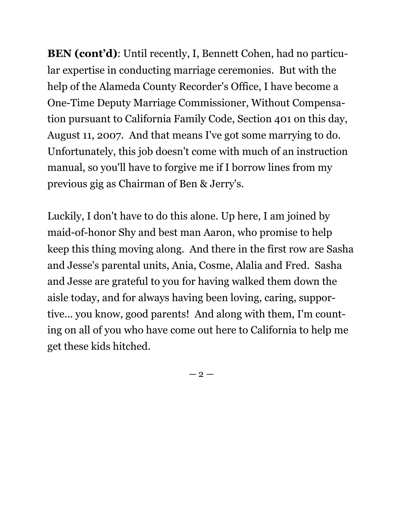**BEN (cont'd)**: Until recently, I, Bennett Cohen, had no particular expertise in conducting marriage ceremonies. But with the help of the Alameda County Recorder's Office, I have become a One-Time Deputy Marriage Commissioner, Without Compensation pursuant to California Family Code, Section 401 on this day, August 11, 2007. And that means I've got some marrying to do. Unfortunately, this job doesn't come with much of an instruction manual, so you'll have to forgive me if I borrow lines from my previous gig as Chairman of Ben & Jerry's.

Luckily, I don't have to do this alone. Up here, I am joined by maid-of-honor Shy and best man Aaron, who promise to help keep this thing moving along. And there in the first row are Sasha and Jesse's parental units, Ania, Cosme, Alalia and Fred. Sasha and Jesse are grateful to you for having walked them down the aisle today, and for always having been loving, caring, supportive... you know, good parents! And along with them, I'm counting on all of you who have come out here to California to help me get these kids hitched.

 $-2-$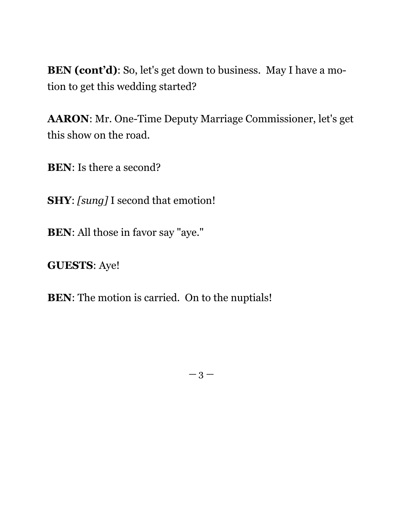**BEN (cont'd)**: So, let's get down to business. May I have a motion to get this wedding started?

**AARON**: Mr. One-Time Deputy Marriage Commissioner, let's get this show on the road.

**BEN**: Is there a second?

**SHY**: *[sung]* I second that emotion!

**BEN**: All those in favor say "aye."

**GUESTS**: Aye!

**BEN**: The motion is carried. On to the nuptials!

 $-3-$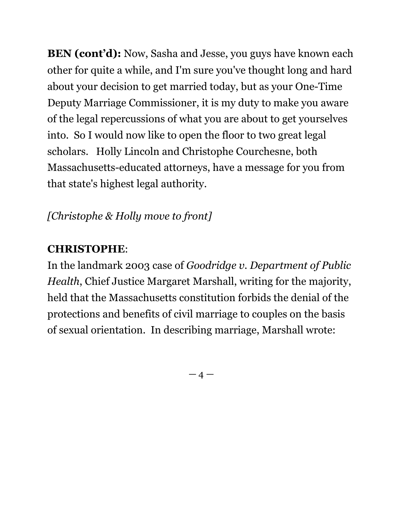**BEN (cont'd):** Now, Sasha and Jesse, you guys have known each other for quite a while, and I'm sure you've thought long and hard about your decision to get married today, but as your One-Time Deputy Marriage Commissioner, it is my duty to make you aware of the legal repercussions of what you are about to get yourselves into. So I would now like to open the floor to two great legal scholars. Holly Lincoln and Christophe Courchesne, both Massachusetts-educated attorneys, have a message for you from that state's highest legal authority.

# *[Christophe & Holly move to front]*

# **CHRISTOPHE**:

In the landmark 2003 case of *Goodridge v. Department of Public Health*, Chief Justice Margaret Marshall, writing for the majority, held that the Massachusetts constitution forbids the denial of the protections and benefits of civil marriage to couples on the basis of sexual orientation. In describing marriage, Marshall wrote:

 $-4-$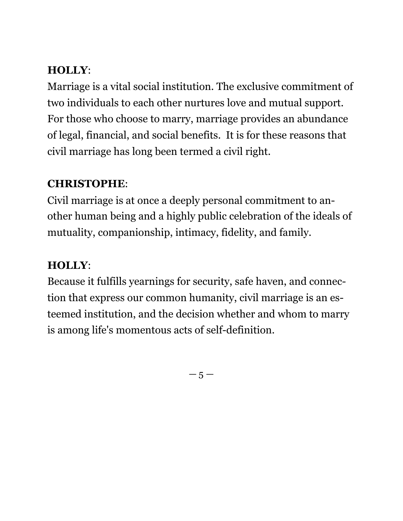# **HOLLY**:

Marriage is a vital social institution. The exclusive commitment of two individuals to each other nurtures love and mutual support. For those who choose to marry, marriage provides an abundance of legal, financial, and social benefits. It is for these reasons that civil marriage has long been termed a civil right.

### **CHRISTOPHE**:

Civil marriage is at once a deeply personal commitment to another human being and a highly public celebration of the ideals of mutuality, companionship, intimacy, fidelity, and family.

### **HOLLY**:

Because it fulfills yearnings for security, safe haven, and connection that express our common humanity, civil marriage is an esteemed institution, and the decision whether and whom to marry is among life's momentous acts of self-definition.

 $-5-$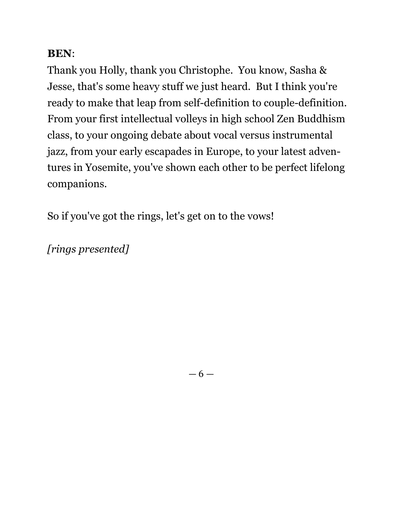#### **BEN**:

Thank you Holly, thank you Christophe. You know, Sasha & Jesse, that's some heavy stuff we just heard. But I think you're ready to make that leap from self-definition to couple-definition. From your first intellectual volleys in high school Zen Buddhism class, to your ongoing debate about vocal versus instrumental jazz, from your early escapades in Europe, to your latest adventures in Yosemite, you've shown each other to be perfect lifelong companions.

So if you've got the rings, let's get on to the vows!

*[rings presented]*

 $-6-$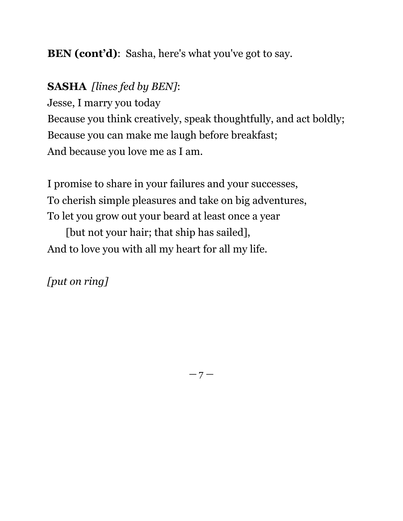### **BEN (cont'd)**: Sasha, here's what you've got to say.

# **SASHA** *[lines fed by BEN]*:

Jesse, I marry you today Because you think creatively, speak thoughtfully, and act boldly; Because you can make me laugh before breakfast; And because you love me as I am.

I promise to share in your failures and your successes, To cherish simple pleasures and take on big adventures, To let you grow out your beard at least once a year

 [but not your hair; that ship has sailed], And to love you with all my heart for all my life.

*[put on ring]*

 $-7 -$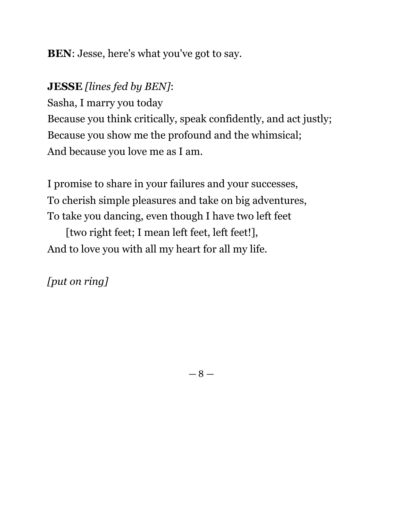### **BEN**: Jesse, here's what you've got to say.

### **JESSE** *[lines fed by BEN]*:

Sasha, I marry you today Because you think critically, speak confidently, and act justly; Because you show me the profound and the whimsical; And because you love me as I am.

I promise to share in your failures and your successes, To cherish simple pleasures and take on big adventures, To take you dancing, even though I have two left feet

 [two right feet; I mean left feet, left feet!], And to love you with all my heart for all my life.

*[put on ring]*

 $-8-$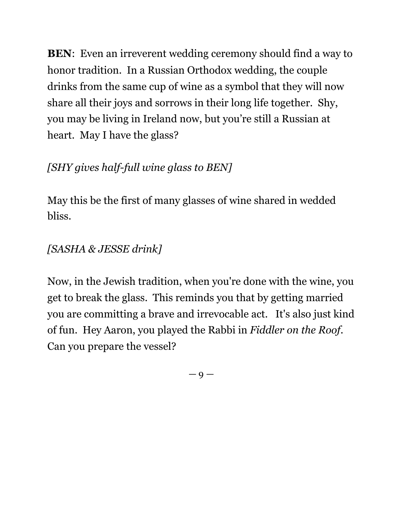**BEN:** Even an irreverent wedding ceremony should find a way to honor tradition. In a Russian Orthodox wedding, the couple drinks from the same cup of wine as a symbol that they will now share all their joys and sorrows in their long life together. Shy, you may be living in Ireland now, but you're still a Russian at heart. May I have the glass?

# *[SHY gives half-full wine glass to BEN]*

May this be the first of many glasses of wine shared in wedded bliss.

### *[SASHA & JESSE drink]*

Now, in the Jewish tradition, when you're done with the wine, you get to break the glass. This reminds you that by getting married you are committing a brave and irrevocable act. It's also just kind of fun. Hey Aaron, you played the Rabbi in *Fiddler on the Roof*. Can you prepare the vessel?

 $-9-$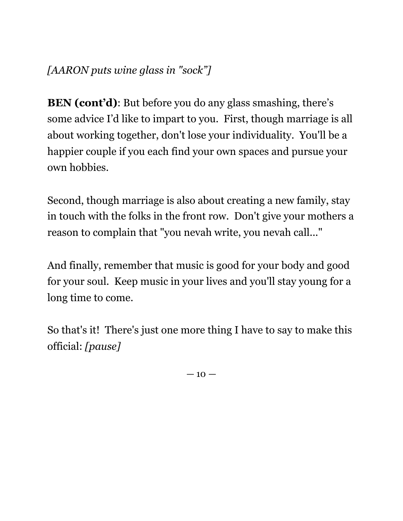# *[AARON puts wine glass in "sock"]*

**BEN (cont'd)**: But before you do any glass smashing, there's some advice I'd like to impart to you. First, though marriage is all about working together, don't lose your individuality. You'll be a happier couple if you each find your own spaces and pursue your own hobbies.

Second, though marriage is also about creating a new family, stay in touch with the folks in the front row. Don't give your mothers a reason to complain that "you nevah write, you nevah call..."

And finally, remember that music is good for your body and good for your soul. Keep music in your lives and you'll stay young for a long time to come.

So that's it! There's just one more thing I have to say to make this official: *[pause]*

 $-10-$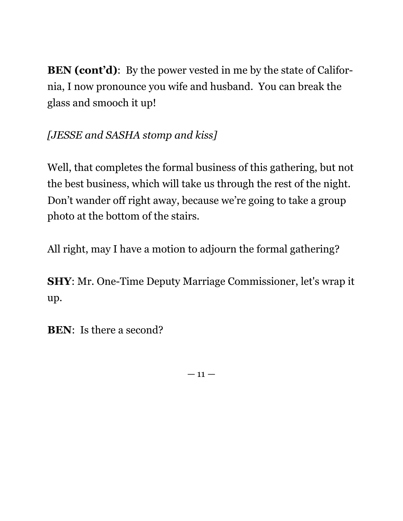**BEN (cont'd)**: By the power vested in me by the state of California, I now pronounce you wife and husband. You can break the glass and smooch it up!

# *[JESSE and SASHA stomp and kiss]*

Well, that completes the formal business of this gathering, but not the best business, which will take us through the rest of the night. Don't wander off right away, because we're going to take a group photo at the bottom of the stairs.

All right, may I have a motion to adjourn the formal gathering?

**SHY**: Mr. One-Time Deputy Marriage Commissioner, let's wrap it up.

**BEN**: Is there a second?

 $-11-$